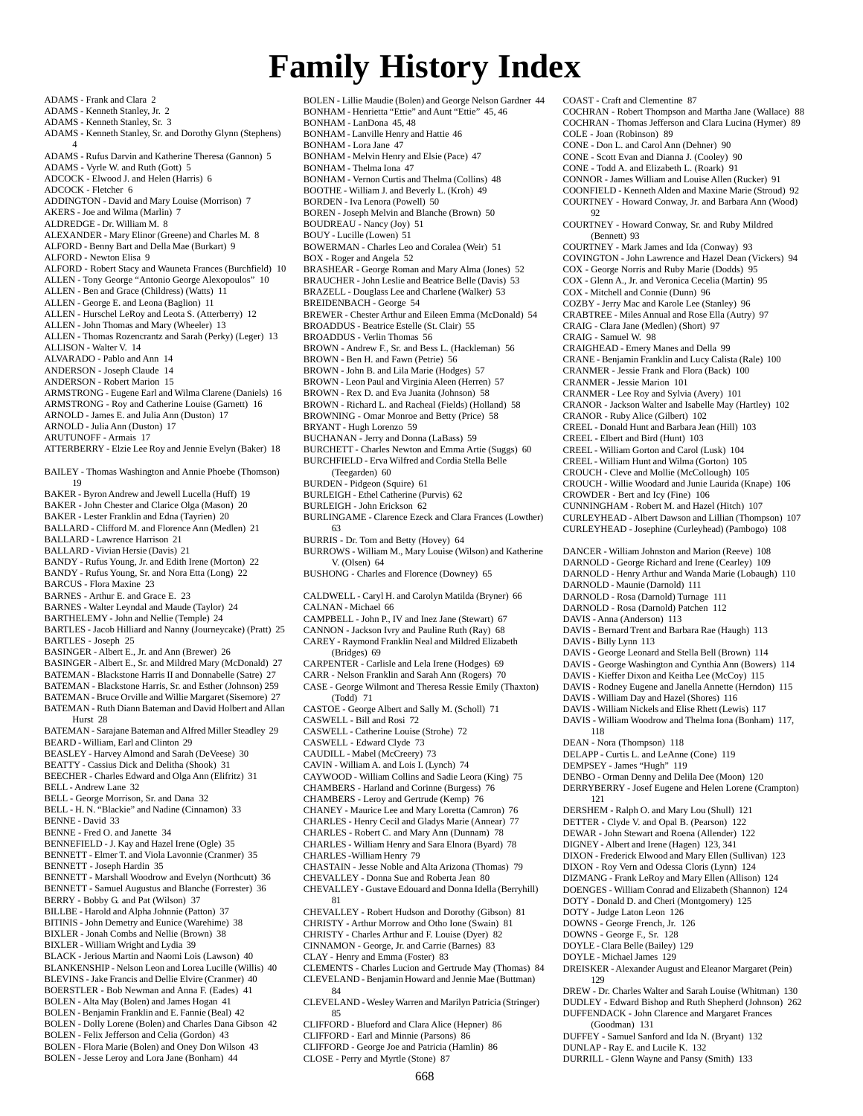## **Family History Index**

ADAMS - Frank and Clara 2 ADAMS - Kenneth Stanley, Jr. 2 ADAMS - Kenneth Stanley, Sr. 3 ADAMS - Kenneth Stanley, Sr. and Dorothy Glynn (Stephens) 4 ADAMS - Rufus Darvin and Katherine Theresa (Gannon) 5 ADAMS - Vyrle W. and Ruth (Gott) 5 ADCOCK - Elwood J. and Helen (Harris) 6 ADCOCK - Fletcher 6 ADDINGTON - David and Mary Louise (Morrison) 7 AKERS - Joe and Wilma (Marlin) 7 ALDREDGE - Dr. William M. 8 ALEXANDER - Mary Elinor (Greene) and Charles M. 8 ALFORD - Benny Bart and Della Mae (Burkart) 9 ALFORD - Newton Elisa 9 ALFORD - Robert Stacy and Wauneta Frances (Burchfield) 10 ALLEN - Tony George "Antonio George Alexopoulos" 10 ALLEN - Ben and Grace (Childress) (Watts) 11 ALLEN - George E. and Leona (Baglion) 11 ALLEN - Hurschel LeRoy and Leota S. (Atterberry) 12 ALLEN - John Thomas and Mary (Wheeler) 13 ALLEN - Thomas Rozencrantz and Sarah (Perky) (Leger) 13 ALLISON - Walter V. 14 ALVARADO - Pablo and Ann 14 ANDERSON - Joseph Claude 14 ANDERSON - Robert Marion 15 ARMSTRONG - Eugene Earl and Wilma Clarene (Daniels) 16 ARMSTRONG - Roy and Catherine Louise (Garnett) 16 ARNOLD - James E. and Julia Ann (Duston) 17 ARNOLD - Julia Ann (Duston) 17 ARUTUNOFF - Armais 17 ATTERBERRY - Elzie Lee Roy and Jennie Evelyn (Baker) 18 BAILEY - Thomas Washington and Annie Phoebe (Thomson) 19 BAKER - Byron Andrew and Jewell Lucella (Huff) 19 BAKER - John Chester and Clarice Olga (Mason) 20 BAKER - Lester Franklin and Edna (Tayrien) 20 BALLARD - Clifford M. and Florence Ann (Medlen) 21 BALLARD - Lawrence Harrison 21 BALLARD - Vivian Hersie (Davis) 21 BANDY - Rufus Young, Jr. and Edith Irene (Morton) 22 BANDY - Rufus Young, Sr. and Nora Etta (Long) 22 BARCUS - Flora Maxine 23 BARNES - Arthur E. and Grace E. 23 BARNES - Walter Leyndal and Maude (Taylor) 24 BARTHELEMY - John and Nellie (Temple) 24 BARTLES - Jacob Hilliard and Nanny (Journeycake) (Pratt) 25 BARTLES - Joseph 25 BASINGER - Albert E., Jr. and Ann (Brewer) 26 BASINGER - Albert E., Sr. and Mildred Mary (McDonald) 27 BATEMAN - Blackstone Harris II and Donnabelle (Satre) 27 BATEMAN - Blackstone Harris, Sr. and Esther (Johnson) 259 BATEMAN - Bruce Orville and Willie Margaret (Sisemore) 27 BATEMAN - Ruth Diann Bateman and David Holbert and Allan Hurst 28 BATEMAN - Sarajane Bateman and Alfred Miller Steadley 29 BEARD - William, Earl and Clinton 29 BEASLEY - Harvey Almond and Sarah (DeVeese) 30 BEATTY - Cassius Dick and Delitha (Shook) 31 BEECHER - Charles Edward and Olga Ann (Elifritz) 31 BELL - Andrew Lane 32 BELL - George Morrison, Sr. and Dana 32 BELL - H. N. "Blackie" and Nadine (Cinnamon) 33 BENNE - David 33 BENNE - Fred O. and Janette 34 BENNEFIELD - J. Kay and Hazel Irene (Ogle) 35 BENNETT - Elmer T. and Viola Lavonnie (Cranmer) 35 BENNETT - Joseph Hardin 35 BENNETT - Marshall Woodrow and Evelyn (Northcutt) 36 BENNETT - Samuel Augustus and Blanche (Forrester) 36 BERRY - Bobby G. and Pat (Wilson) 37 BILLBE - Harold and Alpha Johnnie (Patton) 37 BITINIS - John Demetry and Eunice (Warehime) 38 BIXLER - Jonah Combs and Nellie (Brown) 38 BIXLER - William Wright and Lydia 39 BLACK - Jerious Martin and Naomi Lois (Lawson) 40 BLANKENSHIP - Nelson Leon and Lorea Lucille (Willis) 40 BLEVINS - Jake Francis and Dellie Elvire (Cranmer) 40 BOERSTLER - Bob Newman and Anna F. (Eades) 41 BOLEN - Alta May (Bolen) and James Hogan 41 BOLEN - Benjamin Franklin and E. Fannie (Beal) 42 BOLEN - Dolly Lorene (Bolen) and Charles Dana Gibson 42 BOLEN - Felix Jefferson and Celia (Gordon) 43 BOLEN - Flora Marie (Bolen) and Oney Don Wilson 43 BOLEN - Jesse Leroy and Lora Jane (Bonham) 44

BOLEN - Lillie Maudie (Bolen) and George Nelson Gardner 44 BONHAM - Henrietta "Ettie" and Aunt "Ettie" 45, 46 BONHAM - LanDona 45, 48 BONHAM - Lanville Henry and Hattie 46 BONHAM - Lora Jane 47 BONHAM - Melvin Henry and Elsie (Pace) 47 BONHAM - Thelma Iona 47 BONHAM - Vernon Curtis and Thelma (Collins) 48 BOOTHE - William J. and Beverly L. (Kroh) 49 BORDEN - Iva Lenora (Powell) 50 BOREN - Joseph Melvin and Blanche (Brown) 50 BOUDREAU - Nancy (Joy) 51 BOUY - Lucille (Lowen) 51 BOWERMAN - Charles Leo and Coralea (Weir) 51 BOX - Roger and Angela 52 BRASHEAR - George Roman and Mary Alma (Jones) 52 BRAUCHER - John Leslie and Beatrice Belle (Davis) 53 BRAZELL - Douglass Lee and Charlene (Walker) 53 BREIDENBACH - George 54 BREWER - Chester Arthur and Eileen Emma (McDonald) 54 BROADDUS - Beatrice Estelle (St. Clair) 55 BROADDUS - Verlin Thomas 56 BROWN - Andrew F., Sr. and Bess L. (Hackleman) 56 BROWN - Ben H. and Fawn (Petrie) 56 BROWN - John B. and Lila Marie (Hodges) 57 BROWN - Leon Paul and Virginia Aleen (Herren) 57 BROWN - Rex D. and Eva Juanita (Johnson) 58 BROWN - Richard L. and Racheal (Fields) (Holland) 58 BROWNING - Omar Monroe and Betty (Price) 58 BRYANT - Hugh Lorenzo 59 BUCHANAN - Jerry and Donna (LaBass) 59 BURCHETT - Charles Newton and Emma Artie (Suggs) 60 BURCHFIELD - Erva Wilfred and Cordia Stella Belle (Teegarden) 60 BURDEN - Pidgeon (Squire) 61 BURLEIGH - Ethel Catherine (Purvis) 62 BURLEIGH - John Erickson 62 BURLINGAME - Clarence Ezeck and Clara Frances (Lowther) 63 BURRIS - Dr. Tom and Betty (Hovey) 64 BURROWS - William M., Mary Louise (Wilson) and Katherine V. (Olsen) 64 BUSHONG - Charles and Florence (Downey) 65 CALDWELL - Caryl H. and Carolyn Matilda (Bryner) 66 CALNAN - Michael 66 CAMPBELL - John P., IV and Inez Jane (Stewart) 67 CANNON - Jackson Ivry and Pauline Ruth (Ray) 68 CAREY - Raymond Franklin Neal and Mildred Elizabeth (Bridges) 69 CARPENTER - Carlisle and Lela Irene (Hodges) 69 CARR - Nelson Franklin and Sarah Ann (Rogers) 70 CASE - George Wilmont and Theresa Ressie Emily (Thaxton)  $(Todd)$  71 CASTOE - George Albert and Sally M. (Scholl) 71 CASWELL - Bill and Rosi 72 CASWELL - Catherine Louise (Strohe) 72 CASWELL - Edward Clyde 73 CAUDILL - Mabel (McCreery) 73 CAVIN - William A. and Lois I. (Lynch) 74 CAYWOOD - William Collins and Sadie Leora (King) 75 CHAMBERS - Harland and Corinne (Burgess) 76 CHAMBERS - Leroy and Gertrude (Kemp) 76 CHANEY - Maurice Lee and Mary Loretta (Camron) 76 CHARLES - Henry Cecil and Gladys Marie (Annear) 77 CHARLES - Robert C. and Mary Ann (Dunnam) 78 CHARLES - William Henry and Sara Elnora (Byard) 78 CHARLES -William Henry 79 CHASTAIN - Jesse Noble and Alta Arizona (Thomas) 79 CHEVALLEY - Donna Sue and Roberta Jean 80 CHEVALLEY - Gustave Edouard and Donna Idella (Berryhill) 81 CHEVALLEY - Robert Hudson and Dorothy (Gibson) 81 CHRISTY - Arthur Morrow and Otho Ione (Swain) 81 CHRISTY - Charles Arthur and F. Louise (Dyer) 82 CINNAMON - George, Jr. and Carrie (Barnes) 83 CLAY - Henry and Emma (Foster) 83 CLEMENTS - Charles Lucion and Gertrude May (Thomas) 84 CLEVELAND - Benjamin Howard and Jennie Mae (Buttman) 84 CLEVELAND - Wesley Warren and Marilyn Patricia (Stringer) 85 CLIFFORD - Blueford and Clara Alice (Hepner) 86 CLIFFORD - Earl and Minnie (Parsons) 86 CLIFFORD - George Joe and Patricia (Hamlin) 86

COAST - Craft and Clementine 87 COCHRAN - Robert Thompson and Martha Jane (Wallace) 88 COCHRAN - Thomas Jefferson and Clara Lucina (Hymer) 89 COLE - Joan (Robinson) 89 CONE - Don L. and Carol Ann (Dehner) 90 CONE - Scott Evan and Dianna J. (Cooley) 90 CONE - Todd A. and Elizabeth L. (Roark) 91 CONNOR - James William and Louise Allen (Rucker) 91 COONFIELD - Kenneth Alden and Maxine Marie (Stroud) 92 COURTNEY - Howard Conway, Jr. and Barbara Ann (Wood) 92 COURTNEY - Howard Conway, Sr. and Ruby Mildred (Bennett) 93 COURTNEY - Mark James and Ida (Conway) 93 COVINGTON - John Lawrence and Hazel Dean (Vickers) 94 COX - George Norris and Ruby Marie (Dodds) 95 COX - Glenn A., Jr. and Veronica Cecelia (Martin) 95 COX - Mitchell and Connie (Dunn) 96 COZBY - Jerry Mac and Karole Lee (Stanley) 96 CRABTREE - Miles Annual and Rose Ella (Autry) 97 CRAIG - Clara Jane (Medlen) (Short) 97 CRAIG - Samuel W. 98 CRAIGHEAD - Emery Manes and Della 99 CRANE - Benjamin Franklin and Lucy Calista (Rale) 100 CRANMER - Jessie Frank and Flora (Back) 100 CRANMER - Jessie Marion 101 CRANMER - Lee Roy and Sylvia (Avery) 101 CRANOR - Jackson Walter and Isabelle May (Hartley) 102 CRANOR - Ruby Alice (Gilbert) 102 CREEL - Donald Hunt and Barbara Jean (Hill) 103 CREEL - Elbert and Bird (Hunt) 103 CREEL - William Gorton and Carol (Lusk) 104 CREEL - William Hunt and Wilma (Gorton) 105 CROUCH - Cleve and Mollie (McCollough) 105 CROUCH - Willie Woodard and Junie Laurida (Knape) 106 CROWDER - Bert and Icy (Fine) 106 CUNNINGHAM - Robert M. and Hazel (Hitch) 107 CURLEYHEAD - Albert Dawson and Lillian (Thompson) 107 CURLEYHEAD - Josephine (Curleyhead) (Pambogo) 108 DANCER - William Johnston and Marion (Reeve) 108 DARNOLD - George Richard and Irene (Cearley) 109 DARNOLD - Henry Arthur and Wanda Marie (Lobaugh) 110 DARNOLD - Maunie (Darnold) 111 DARNOLD - Rosa (Darnold) Turnage 111 DARNOLD - Rosa (Darnold) Patchen 112 DAVIS - Anna (Anderson) 113 DAVIS - Bernard Trent and Barbara Rae (Haugh) 113 DAVIS - Billy Lynn 113 DAVIS - George Leonard and Stella Bell (Brown) 114 DAVIS - George Washington and Cynthia Ann (Bowers) 114 DAVIS - Kieffer Dixon and Keitha Lee (McCoy) 115 DAVIS - Rodney Eugene and Janella Annette (Herndon) 115 DAVIS - William Day and Hazel (Shores) 116 DAVIS - William Nickels and Elise Rhett (Lewis) 117 DAVIS - William Woodrow and Thelma Iona (Bonham) 117, 118 DEAN - Nora (Thompson) 118 DELAPP - Curtis L. and LeAnne (Cone) 119 DEMPSEY - James "Hugh" 119 DENBO - Orman Denny and Delila Dee (Moon) 120 DERRYBERRY - Josef Eugene and Helen Lorene (Crampton) 121 DERSHEM - Ralph O. and Mary Lou (Shull) 121 DETTER - Clyde V. and Opal B. (Pearson) 122 DEWAR - John Stewart and Roena (Allender) 122 DIGNEY - Albert and Irene (Hagen) 123, 341 DIXON - Frederick Elwood and Mary Ellen (Sullivan) 123 DIXON - Roy Vern and Odessa Cloris (Lynn) 124 DIZMANG - Frank LeRoy and Mary Ellen (Allison) 124 DOENGES - William Conrad and Elizabeth (Shannon) 124 DOTY - Donald D. and Cheri (Montgomery) 125 DOTY - Judge Laton Leon 126 DOWNS - George French, Jr. 126 DOWNS - George F., Sr. 128 DOYLE - Clara Belle (Bailey) 129 DOYLE - Michael James 129 DREISKER - Alexander August and Eleanor Margaret (Pein) 129 DREW - Dr. Charles Walter and Sarah Louise (Whitman) 130 DUDLEY - Edward Bishop and Ruth Shepherd (Johnson) 262 DUFFENDACK - John Clarence and Margaret Frances

(Goodman) 131 DUFFEY - Samuel Sanford and Ida N. (Bryant) 132 DUNLAP - Ray E. and Lucile K. 132 DURRILL - Glenn Wayne and Pansy (Smith) 133

CLOSE - Perry and Myrtle (Stone) 87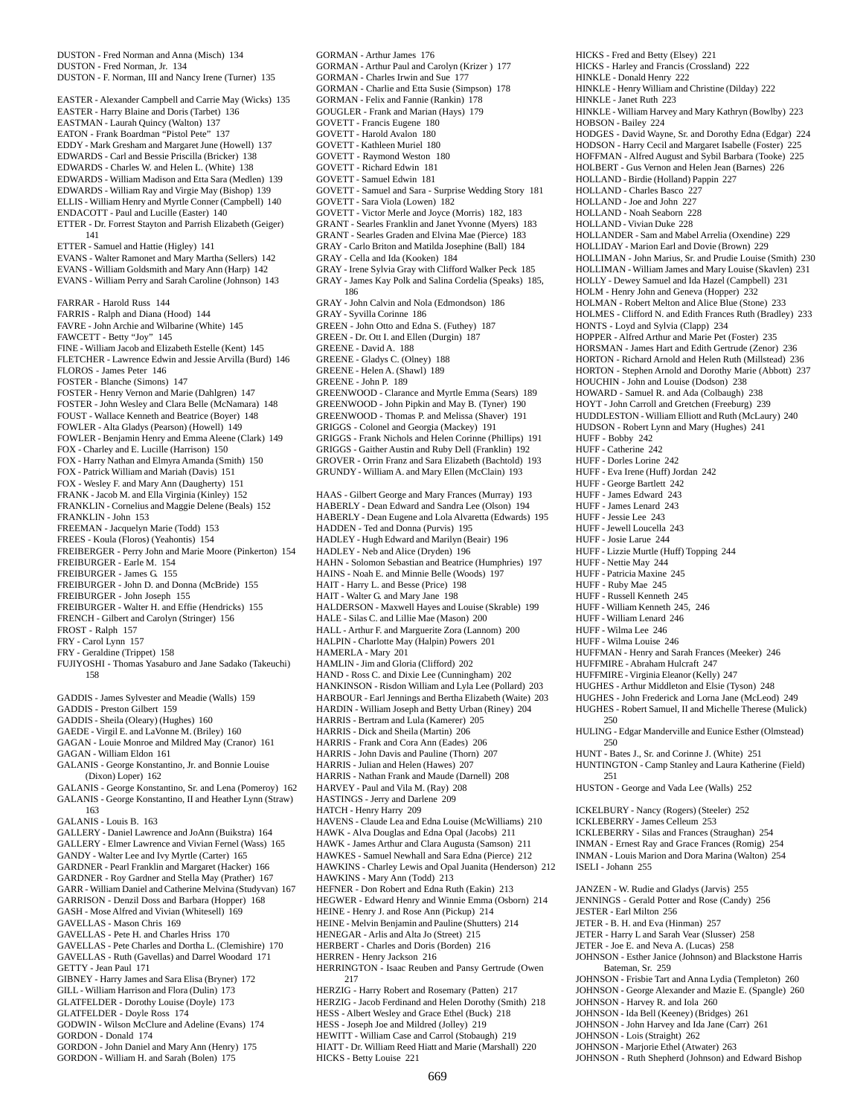DUSTON - Fred Norman and Anna (Misch) 134 DUSTON - Fred Norman, Jr. 134 DUSTON - F. Norman, III and Nancy Irene (Turner) 135 EASTER - Alexander Campbell and Carrie May (Wicks) 135 EASTER - Harry Blaine and Doris (Tarbet) 136 EASTMAN - Laurah Quincy (Walton) 137 EATON - Frank Boardman "Pistol Pete" 137 EDDY - Mark Gresham and Margaret June (Howell) 137 EDWARDS - Carl and Bessie Priscilla (Bricker) 138 EDWARDS - Charles W. and Helen L. (White) 138 EDWARDS - William Madison and Etta Sara (Medlen) 139 EDWARDS - William Ray and Virgie May (Bishop) 139 ELLIS - William Henry and Myrtle Conner (Campbell) 140 ENDACOTT - Paul and Lucille (Easter) 140 ETTER - Dr. Forrest Stayton and Parrish Elizabeth (Geiger) 141 ETTER - Samuel and Hattie (Higley) 141 EVANS - Walter Ramonet and Mary Martha (Sellers) 142 EVANS - William Goldsmith and Mary Ann (Harp) 142 EVANS - William Perry and Sarah Caroline (Johnson) 143 FARRAR - Harold Russ 144 FARRIS - Ralph and Diana (Hood) 144 FAVRE - John Archie and Wilbarine (White) 145 FAWCETT - Betty "Joy" 145 FINE - William Jacob and Elizabeth Estelle (Kent) 145 FLETCHER - Lawrence Edwin and Jessie Arvilla (Burd) 146 FLOROS - James Peter 146 FOSTER - Blanche (Simons) 147 FOSTER - Henry Vernon and Marie (Dahlgren) 147 FOSTER - John Wesley and Clara Belle (McNamara) 148 FOUST - Wallace Kenneth and Beatrice (Boyer) 148 FOWLER - Alta Gladys (Pearson) (Howell) 149 FOWLER - Benjamin Henry and Emma Aleene (Clark) 149 FOX - Charley and E. Lucille (Harrison) 150 FOX - Harry Nathan and Elmyra Amanda (Smith) 150 FOX - Patrick William and Mariah (Davis) 151 FOX - Wesley F. and Mary Ann (Daugherty) 151 FRANK - Jacob M. and Ella Virginia (Kinley) 152 FRANKLIN - Cornelius and Maggie Delene (Beals) 152 FRANKLIN - John 153 FREEMAN - Jacquelyn Marie (Todd) 153 FREES - Koula (Floros) (Yeahontis) 154 FREIBERGER - Perry John and Marie Moore (Pinkerton) 154 FREIBURGER - Earle M. 154 FREIBURGER - James G. 155 FREIBURGER - John D. and Donna (McBride) 155 FREIBURGER - John Joseph 155 FREIBURGER - Walter H. and Effie (Hendricks) 155 FRENCH - Gilbert and Carolyn (Stringer) 156 FROST - Ralph 157 FRY - Carol Lynn 157 FRY - Geraldine (Trippet) 158 FUJIYOSHI - Thomas Yasaburo and Jane Sadako (Takeuchi) 158 GADDIS - James Sylvester and Meadie (Walls) 159 GADDIS - Preston Gilbert 159 GADDIS - Sheila (Oleary) (Hughes) 160 GAEDE - Virgil E. and LaVonne M. (Briley) 160 GAGAN - Louie Monroe and Mildred May (Cranor) 161 GAGAN - William Eldon 161 GALANIS - George Konstantino, Jr. and Bonnie Louise (Dixon) Loper) 162 GALANIS - George Konstantino, Sr. and Lena (Pomeroy) 162 GALANIS - George Konstantino, II and Heather Lynn (Straw) 163 GALANIS - Louis B. 163 GALLERY - Daniel Lawrence and JoAnn (Buikstra) 164 GALLERY - Elmer Lawrence and Vivian Fernel (Wass) 165 GANDY - Walter Lee and Ivy Myrtle (Carter) 165 GARDNER - Pearl Franklin and Margaret (Hacker) 166 GARDNER - Roy Gardner and Stella May (Prather) 167 GARR - William Daniel and Catherine Melvina (Studyvan) 167 GARRISON - Denzil Doss and Barbara (Hopper) 168 GASH - Mose Alfred and Vivian (Whitesell) 169 GAVELLAS - Mason Chris 169 GAVELLAS - Pete H. and Charles Hriss 170 GAVELLAS - Pete Charles and Dortha L. (Clemishire) 170 GAVELLAS - Ruth (Gavellas) and Darrel Woodard 171 GETTY - Jean Paul 171 GIBNEY - Harry James and Sara Elisa (Bryner) 172 GILL - William Harrison and Flora (Dulin) 173 GLATFELDER - Dorothy Louise (Doyle) 173 GLATFELDER - Doyle Ross 174 GODWIN - Wilson McClure and Adeline (Evans) 174 GORDON - Donald 174 GORDON - John Daniel and Mary Ann (Henry) 175

GORDON - William H. and Sarah (Bolen) 175

GORMAN - Arthur James 176 GORMAN - Arthur Paul and Carolyn (Krizer ) 177 GORMAN - Charles Irwin and Sue 177 GORMAN - Charlie and Etta Susie (Simpson) 178 GORMAN - Felix and Fannie (Rankin) 178 GOUGLER - Frank and Marian (Hays) 179 GOVETT - Francis Eugene 180 GOVETT - Harold Avalon 180 GOVETT - Kathleen Muriel 180 GOVETT - Raymond Weston 180 GOVETT - Richard Edwin 181 GOVETT - Samuel Edwin 181 GOVETT - Samuel and Sara - Surprise Wedding Story 181 GOVETT - Sara Viola (Lowen) 182 GOVETT - Victor Merle and Joyce (Morris) 182, 183 GRANT - Searles Franklin and Janet Yvonne (Myers) 183 GRANT - Searles Graden and Elvina Mae (Pierce) 183 GRAY - Carlo Briton and Matilda Josephine (Ball) 184 GRAY - Cella and Ida (Kooken) 184 GRAY - Irene Sylvia Gray with Clifford Walker Peck 185 GRAY - James Kay Polk and Salina Cordelia (Speaks) 185, 186 GRAY - John Calvin and Nola (Edmondson) 186 GRAY - Syvilla Corinne 186 GREEN - John Otto and Edna S. (Futhey) 187 GREEN - Dr. Ott I. and Ellen (Durgin) 187 GREENE - David A. 188 GREENE - Gladys C. (Olney) 188 GREENE - Helen A. (Shawl) 189 GREENE - John P. 189 GREENWOOD - Clarance and Myrtle Emma (Sears) 189 GREENWOOD - John Pipkin and May B. (Tyner) 190 GREENWOOD - Thomas P. and Melissa (Shaver) 191 GRIGGS - Colonel and Georgia (Mackey) 191 GRIGGS - Frank Nichols and Helen Corinne (Phillips) 191 GRIGGS - Gaither Austin and Ruby Dell (Franklin) 192 GROVER - Orrin Franz and Sara Elizabeth (Bachtold) 193 GRUNDY - William A. and Mary Ellen (McClain) 193 HAAS - Gilbert George and Mary Frances (Murray) 193 HABERLY - Dean Edward and Sandra Lee (Olson) 194 HABERLY - Dean Eugene and Lola Alvaretta (Edwards) 195 HADDEN - Ted and Donna (Purvis) 195 HADLEY - Hugh Edward and Marilyn (Beair) 196 HADLEY - Neb and Alice (Dryden) 196 HAHN - Solomon Sebastian and Beatrice (Humphries) 197 HAINS - Noah E. and Minnie Belle (Woods) 197 HAIT - Harry L. and Besse (Price) 198 HAIT - Walter G. and Mary Jane 198 HALDERSON - Maxwell Hayes and Louise (Skrable) 199 HALE - Silas C. and Lillie Mae (Mason) 200 HALL - Arthur F. and Marguerite Zora (Lannom) 200 HALPIN - Charlotte May (Halpin) Powers 201 HAMERLA - Mary 201 HAMLIN - Jim and Gloria (Clifford) 202 HAND - Ross C. and Dixie Lee (Cunningham) 202 HANKINSON - Risdon William and Lyla Lee (Pollard) 203 HARBOUR - Earl Jennings and Bertha Elizabeth (Waite) 203 HARDIN - William Joseph and Betty Urban (Riney) 204 HARRIS - Bertram and Lula (Kamerer) 205 HARRIS - Dick and Sheila (Martin) 206 HARRIS - Frank and Cora Ann (Eades) 206 HARRIS - John Davis and Pauline (Thorn) 207 HARRIS - Julian and Helen (Hawes) 207 HARRIS - Nathan Frank and Maude (Darnell) 208 HARVEY - Paul and Vila M. (Ray) 208 HASTINGS - Jerry and Darlene 209 HATCH - Henry Harry 209 HAVENS - Claude Lea and Edna Louise (McWilliams) 210 HAWK - Alva Douglas and Edna Opal (Jacobs) 211 HAWK - James Arthur and Clara Augusta (Samson) 211 HAWKES - Samuel Newhall and Sara Edna (Pierce) 212 HAWKINS - Charley Lewis and Opal Juanita (Henderson) 212 HAWKINS - Mary Ann (Todd) 213 HEFNER - Don Robert and Edna Ruth (Eakin) 213 HEGWER - Edward Henry and Winnie Emma (Osborn) 214 HEINE - Henry J. and Rose Ann (Pickup) 214 HEINE - Melvin Benjamin and Pauline (Shutters) 214 HENEGAR - Arlis and Alta Jo (Street) 215 HERBERT - Charles and Doris (Borden) 216 HERREN - Henry Jackson 216 HERRINGTON - Isaac Reuben and Pansy Gertrude (Owen 217 HERZIG - Harry Robert and Rosemary (Patten) 217 HERZIG - Jacob Ferdinand and Helen Dorothy (Smith) 218 HESS - Albert Wesley and Grace Ethel (Buck) 218 HESS - Joseph Joe and Mildred (Jolley) 219 HEWITT - William Case and Carrol (Stobaugh) 219 HIATT - Dr. William Reed Hiatt and Marie (Marshall) 220

HICKS - Fred and Betty (Elsey) 221 HICKS - Harley and Francis (Crossland) 222 HINKLE - Donald Henry 222 HINKLE - Henry William and Christine (Dilday) 222 HINKLE - Janet Ruth 223 HINKLE - William Harvey and Mary Kathryn (Bowlby) 223 HOBSON - Bailey 224 HODGES - David Wayne, Sr. and Dorothy Edna (Edgar) 224 HODSON - Harry Cecil and Margaret Isabelle (Foster) 225 HOFFMAN - Alfred August and Sybil Barbara (Tooke) 225 HOLBERT - Gus Vernon and Helen Jean (Barnes) 226 HOLLAND - Birdie (Holland) Pappin 227 HOLLAND - Charles Basco 227 HOLLAND - Joe and John 227 HOLLAND - Noah Seaborn 228 HOLLAND - Vivian Duke 228 HOLLANDER - Sam and Mabel Arrelia (Oxendine) 229 HOLLIDAY - Marion Earl and Dovie (Brown) 229 HOLLIMAN - John Marius, Sr. and Prudie Louise (Smith) 230 HOLLIMAN - William James and Mary Louise (Skavlen) 231 HOLLY - Dewey Samuel and Ida Hazel (Campbell) 231 HOLM - Henry John and Geneva (Hopper) 232 HOLMAN - Robert Melton and Alice Blue (Stone) 233 HOLMES - Clifford N. and Edith Frances Ruth (Bradley) 233 HONTS - Loyd and Sylvia (Clapp) 234 HOPPER - Alfred Arthur and Marie Pet (Foster) 235 HORSMAN - James Hart and Edith Gertrude (Zenor) 236 HORTON - Richard Arnold and Helen Ruth (Millstead) 236 HORTON - Stephen Arnold and Dorothy Marie (Abbott) 237 HOUCHIN - John and Louise (Dodson) 238 HOWARD - Samuel R. and Ada (Colbaugh) 238 HOYT - John Carroll and Gretchen (Freeburg) 239 HUDDLESTON - William Elliott and Ruth (McLaury) 240 HUDSON - Robert Lynn and Mary (Hughes) 241 HUFF - Bobby 242 HUFF - Catherine 242 HUFF - Dorles Lorine 242 HUFF - Eva Irene (Huff) Jordan 242 HUFF - George Bartlett 242 HUFF - James Edward 243 HUFF - James Lenard 243 HUFF - Jessie Lee 243 HUFF - Jewell Loucella 243 HUFF - Josie Larue 244 HUFF - Lizzie Murtle (Huff) Topping 244 HUFF - Nettie May 244 HUFF - Patricia Maxine 245 HUFF - Ruby Mae 245 HUFF - Russell Kenneth 245 HUFF - William Kenneth 245, 246 HUFF - William Lenard 246 HUFF - Wilma Lee 246 HUFF - Wilma Louise 246 HUFFMAN - Henry and Sarah Frances (Meeker) 246 HUFFMIRE - Abraham Hulcraft 247 HUFFMIRE - Virginia Eleanor (Kelly) 247 HUGHES - Arthur Middleton and Elsie (Tyson) 248 HUGHES - John Frederick and Lorna Jane (McLeod) 249 HUGHES - Robert Samuel, II and Michelle Therese (Mulick) 250 HULING - Edgar Manderville and Eunice Esther (Olmstead) 250 HUNT - Bates J., Sr. and Corinne J. (White) 251 HUNTINGTON - Camp Stanley and Laura Katherine (Field) 251 HUSTON - George and Vada Lee (Walls) 252 ICKELBURY - Nancy (Rogers) (Steeler) 252 ICKLEBERRY - James Celleum 253 ICKLEBERRY - Silas and Frances (Straughan) 254 INMAN - Ernest Ray and Grace Frances (Romig) 254 INMAN - Louis Marion and Dora Marina (Walton) 254 ISELI - Johann 255 JANZEN - W. Rudie and Gladys (Jarvis) 255 JENNINGS - Gerald Potter and Rose (Candy) 256 JESTER - Earl Milton 256 JETER - B. H. and Eva (Hinman) 257 JETER - Harry L and Sarah Vear (Slusser) 258 JETER - Joe E. and Neva A. (Lucas) 258 JOHNSON - Esther Janice (Johnson) and Blackstone Harris Bateman, Sr. 259 JOHNSON - Frisbie Tart and Anna Lydia (Templeton) 260 JOHNSON - George Alexander and Mazie E. (Spangle) 260 JOHNSON - Harvey R. and Iola 260 JOHNSON - Ida Bell (Keeney) (Bridges) 261 JOHNSON - John Harvey and Ida Jane (Carr) 261 JOHNSON - Lois (Straight) 262 JOHNSON - Marjorie Ethel (Atwater) 263

JOHNSON - Ruth Shepherd (Johnson) and Edward Bishop

HICKS - Betty Louise 221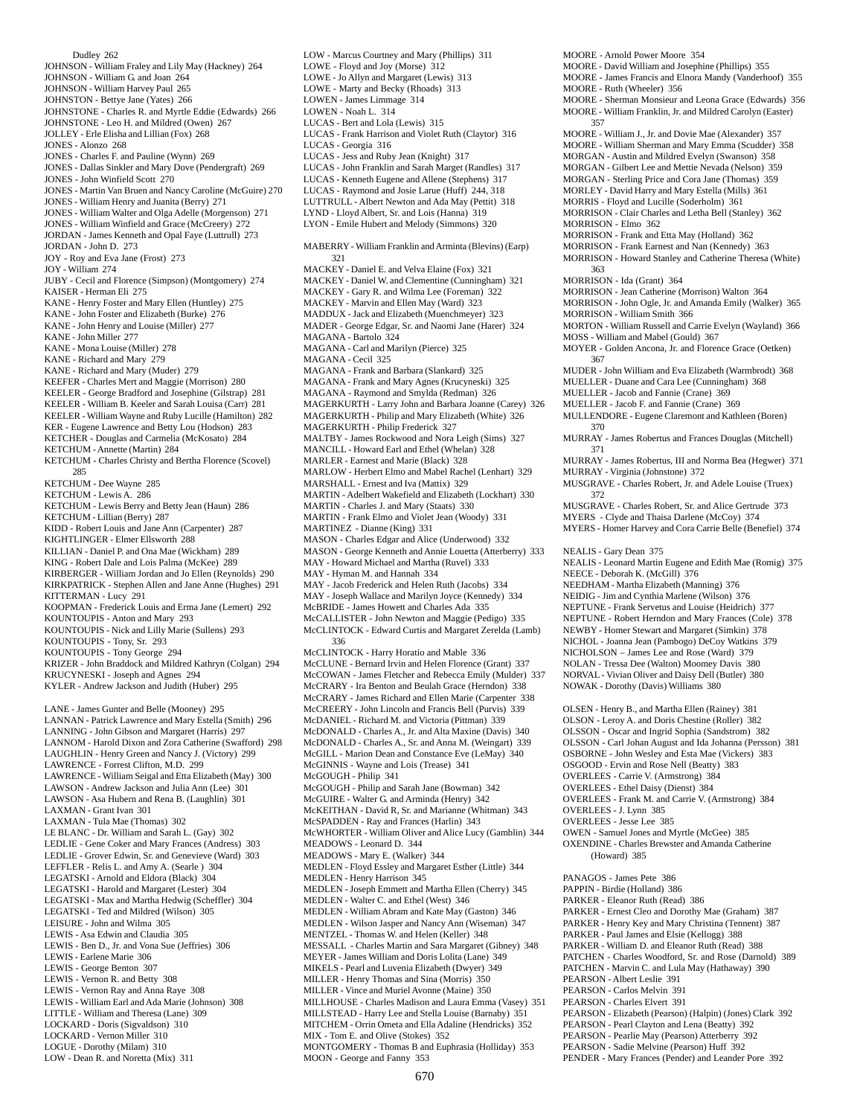Dudley 262 JOHNSON - William Fraley and Lily May (Hackney) 264 JOHNSON - William G. and Joan 264 JOHNSON - William Harvey Paul 265 JOHNSTON - Bettye Jane (Yates) 266 JOHNSTONE - Charles R. and Myrtle Eddie (Edwards) 266 JOHNSTONE - Leo H. and Mildred (Owen) 267 JOLLEY - Erle Elisha and Lillian (Fox) 268 JONES - Alonzo 268 JONES - Charles F. and Pauline (Wynn) 269 JONES - Dallas Sinkler and Mary Dove (Pendergraft) 269 JONES - John Winfield Scott 270 JONES - Martin Van Bruen and Nancy Caroline (McGuire) 270 JONES - William Henry and Juanita (Berry) 271 JONES - William Walter and Olga Adelle (Morgenson) 271 JONES - William Winfield and Grace (McCreery) 272 JORDAN - James Kenneth and Opal Faye (Luttrull) 273 JORDAN - John D. 273 JOY - Roy and Eva Jane (Frost) 273 JOY - William 274 JUBY - Cecil and Florence (Simpson) (Montgomery) 274 KAISER - Herman Eli 275 KANE - Henry Foster and Mary Ellen (Huntley) 275 KANE - John Foster and Elizabeth (Burke) 276 KANE - John Henry and Louise (Miller) 277 KANE - John Miller 277 KANE - Mona Louise (Miller) 278 KANE - Richard and Mary 279 KANE - Richard and Mary (Muder) 279 KEEFER - Charles Mert and Maggie (Morrison) 280 KEELER - George Bradford and Josephine (Gilstrap) 281 KEELER - William B. Keeler and Sarah Louisa (Carr) 281 KEELER - William Wayne and Ruby Lucille (Hamilton) 282 KER - Eugene Lawrence and Betty Lou (Hodson) 283 KETCHER - Douglas and Carmelia (McKosato) 284 KETCHUM - Annette (Martin) 284 KETCHUM - Charles Christy and Bertha Florence (Scovel) 285 KETCHUM - Dee Wayne 285 KETCHUM - Lewis A. 286 KETCHUM - Lewis Berry and Betty Jean (Haun) 286 KETCHUM - Lillian (Berry) 287 KIDD - Robert Louis and Jane Ann (Carpenter) 287 KIGHTLINGER - Elmer Ellsworth 288 KILLIAN - Daniel P. and Ona Mae (Wickham) 289 KING - Robert Dale and Lois Palma (McKee) 289 KIRBERGER - William Jordan and Jo Ellen (Reynolds) 290 KIRKPATRICK - Stephen Allen and Jane Anne (Hughes) 291 KITTERMAN - Lucy 291 KOOPMAN - Frederick Louis and Erma Jane (Lemert) 292 KOUNTOUPIS - Anton and Mary 293 KOUNTOUPIS - Nick and Lilly Marie (Sullens) 293 KOUNTOUPIS - Tony, Sr. 293 KOUNTOUPIS - Tony George 294 KRIZER - John Braddock and Mildred Kathryn (Colgan) 294 KRUCYNESKI - Joseph and Agnes 294 KYLER - Andrew Jackson and Judith (Huber) 295 LANE - James Gunter and Belle (Mooney) 295 LANNAN - Patrick Lawrence and Mary Estella (Smith) 296 LANNING - John Gibson and Margaret (Harris) 297 LANNOM - Harold Dixon and Zora Catherine (Swafford) 298 LAUGHLIN - Henry Green and Nancy J. (Victory) 299 LAWRENCE - Forrest Clifton, M.D. 299 LAWRENCE - William Seigal and Etta Elizabeth (May) 300 LAWSON - Andrew Jackson and Julia Ann (Lee) 301 LAWSON - Asa Hubern and Rena B. (Laughlin) 301 LAXMAN - Grant Ivan 301 LAXMAN - Tula Mae (Thomas) 302 LE BLANC - Dr. William and Sarah L. (Gay) 302 LEDLIE - Gene Coker and Mary Frances (Andress) 303 LEDLIE - Grover Edwin, Sr. and Genevieve (Ward) 303 LEFFLER - Relis L. and Amy A. (Searle ) 304 LEGATSKI - Arnold and Eldora (Black) 304 LEGATSKI - Harold and Margaret (Lester) 304 LEGATSKI - Max and Martha Hedwig (Scheffler) 304 LEGATSKI - Ted and Mildred (Wilson) 305 LEISURE - John and Wilma 305 LEWIS - Asa Edwin and Claudia 305 LEWIS - Ben D., Jr. and Vona Sue (Jeffries) 306 LEWIS - Earlene Marie 306 LEWIS - George Benton 307 LEWIS - Vernon R. and Betty 308 LEWIS - Vernon Ray and Anna Raye 308 LEWIS - William Earl and Ada Marie (Johnson) 308 LITTLE - William and Theresa (Lane) 309 LOCKARD - Doris (Sigvaldson) 310 LOCKARD - Vernon Miller 310 LOGUE - Dorothy (Milam) 310

LOW - Dean R. and Noretta (Mix) 311

LOWE - Jo Allyn and Margaret (Lewis) 313 LOWE - Marty and Becky (Rhoads) 313 LOWEN - James Limmage 314 LOWEN - Noah L. 314 LUCAS - Bert and Lola (Lewis) 315 LUCAS - Frank Harrison and Violet Ruth (Claytor) 316 LUCAS - Georgia 316 LUCAS - Jess and Ruby Jean (Knight) 317 LUCAS - John Franklin and Sarah Marget (Randles) 317 LUCAS - Kenneth Eugene and Allene (Stephens) 317 LUCAS - Raymond and Josie Larue (Huff) 244, 318 LUTTRULL - Albert Newton and Ada May (Pettit) 318 LYND - Lloyd Albert, Sr. and Lois (Hanna) 319 LYON - Emile Hubert and Melody (Simmons) 320 MABERRY - William Franklin and Arminta (Blevins) (Earp) 321 MACKEY - Daniel E. and Velva Elaine (Fox) 321 MACKEY - Daniel W. and Clementine (Cunningham) 321 MACKEY - Gary R. and Wilma Lee (Foreman) 322 MACKEY - Marvin and Ellen May (Ward) 323 MADDUX - Jack and Elizabeth (Muenchmeyer) 323 MADER - George Edgar, Sr. and Naomi Jane (Harer) 324 MAGANA - Bartolo 324 MAGANA - Carl and Marilyn (Pierce) 325 MAGANA - Cecil 325 MAGANA - Frank and Barbara (Slankard) 325 MAGANA - Frank and Mary Agnes (Krucyneski) 325 MAGANA - Raymond and Smylda (Redman) 326 MAGERKURTH - Larry John and Barbara Joanne (Carey) 326 MAGERKURTH - Philip and Mary Elizabeth (White) 326 MAGERKURTH - Philip Frederick 327 MALTBY - James Rockwood and Nora Leigh (Sims) 327 MANCILL - Howard Earl and Ethel (Whelan) 328 MARLER - Earnest and Marie (Black) 328 MARLOW - Herbert Elmo and Mabel Rachel (Lenhart) 329 MARSHALL - Ernest and Iva (Mattix) 329 MARTIN - Adelbert Wakefield and Elizabeth (Lockhart) 330 MARTIN - Charles J. and Mary (Staats) 330 MARTIN - Frank Elmo and Violet Jean (Woody) 331 MARTINEZ - Dianne (King) 331 MASON - Charles Edgar and Alice (Underwood) 332 MASON - George Kenneth and Annie Louetta (Atterberry) 333 MAY - Howard Michael and Martha (Ruvel) 333 MAY - Hyman M. and Hannah 334 MAY - Jacob Frederick and Helen Ruth (Jacobs) 334 MAY - Joseph Wallace and Marilyn Joyce (Kennedy) 334 McBRIDE - James Howett and Charles Ada 335 McCALLISTER - John Newton and Maggie (Pedigo) 335 McCLINTOCK - Edward Curtis and Margaret Zerelda (Lamb) 336 McCLINTOCK - Harry Horatio and Mable 336 McCLUNE - Bernard Irvin and Helen Florence (Grant) 337 McCOWAN - James Fletcher and Rebecca Emily (Mulder) 337 McCRARY - Ira Benton and Beulah Grace (Herndon) 338 McCRARY - James Richard and Ellen Marie (Carpenter 338 McCREERY - John Lincoln and Francis Bell (Purvis) 339 McDANIEL - Richard M. and Victoria (Pittman) 339 McDONALD - Charles A., Jr. and Alta Maxine (Davis) 340 McDONALD - Charles A., Sr. and Anna M. (Weingart) 339 McGILL - Marion Dean and Constance Eve (LeMay) 340 McGINNIS - Wayne and Lois (Trease) 341 McGOUGH - Philip 341 McGOUGH - Philip and Sarah Jane (Bowman) 342 McGUIRE - Walter G. and Arminda (Henry) 342 McKEITHAN - David R, Sr. and Marianne (Whitman) 343 McSPADDEN - Ray and Frances (Harlin) 343 McWHORTER - William Oliver and Alice Lucy (Gamblin) 344 MEADOWS - Leonard D. 344 MEADOWS - Mary E. (Walker) 344 MEDLEN - Floyd Essley and Margaret Esther (Little) 344 MEDLEN - Henry Harrison 345 MEDLEN - Joseph Emmett and Martha Ellen (Cherry) 345 MEDLEN - Walter C. and Ethel (West) 346 MEDLEN - William Abram and Kate May (Gaston) 346 MEDLEN - Wilson Jasper and Nancy Ann (Wiseman) 347 MENTZEL - Thomas W. and Helen (Keller) 348 MESSALL - Charles Martin and Sara Margaret (Gibney) 348 MEYER - James William and Doris Lolita (Lane) 349 MIKELS - Pearl and Luvenia Elizabeth (Dwyer) 349 MILLER - Henry Thomas and Sina (Morris) 350 MILLER - Vince and Muriel Avonne (Maine) 350 MILLHOUSE - Charles Madison and Laura Emma (Vasey) 351 MILLSTEAD - Harry Lee and Stella Louise (Barnaby) 351 MITCHEM - Orrin Ometa and Ella Adaline (Hendricks) 352 MIX - Tom E. and Olive (Stokes) 352 MONTGOMERY - Thomas B and Euphrasia (Holliday) 353 MOON - George and Fanny 353

LOW - Marcus Courtney and Mary (Phillips) 311 LOWE - Floyd and Joy (Morse) 312

MOORE - Arnold Power Moore 354 MOORE - David William and Josephine (Phillips) 355 MOORE - James Francis and Elnora Mandy (Vanderhoof) 355 MOORE - Ruth (Wheeler) 356 MOORE - Sherman Monsieur and Leona Grace (Edwards) 356 MOORE - William Franklin, Jr. and Mildred Carolyn (Easter) 357 MOORE - William J., Jr. and Dovie Mae (Alexander) 357 MOORE - William Sherman and Mary Emma (Scudder) 358 MORGAN - Austin and Mildred Evelyn (Swanson) 358 MORGAN - Gilbert Lee and Mettie Nevada (Nelson) 359 MORGAN - Sterling Price and Cora Jane (Thomas) 359 MORLEY - David Harry and Mary Estella (Mills) 361 MORRIS - Floyd and Lucille (Soderholm) 361 MORRISON - Clair Charles and Letha Bell (Stanley) 362 MORRISON - Elmo 362 MORRISON - Frank and Etta May (Holland) 362 MORRISON - Frank Earnest and Nan (Kennedy) 363 MORRISON - Howard Stanley and Catherine Theresa (White) 363 MORRISON - Ida (Grant) 364 MORRISON - Jean Catherine (Morrison) Walton 364 MORRISON - John Ogle, Jr. and Amanda Emily (Walker) 365 MORRISON - William Smith 366 MORTON - William Russell and Carrie Evelyn (Wayland) 366 MOSS - William and Mabel (Gould) 367 MOYER - Golden Ancona, Jr. and Florence Grace (Oetken) 367 MUDER - John William and Eva Elizabeth (Warmbrodt) 368 MUELLER - Duane and Cara Lee (Cunningham) 368 MUELLER - Jacob and Fannie (Crane) 369 MUELLER - Jacob F. and Fannie (Crane) 369 MULLENDORE - Eugene Claremont and Kathleen (Boren) 370 MURRAY - James Robertus and Frances Douglas (Mitchell) 371 MURRAY - James Robertus, III and Norma Bea (Hegwer) 371 MURRAY - Virginia (Johnstone) 372 MUSGRAVE - Charles Robert, Jr. and Adele Louise (Truex) 372 MUSGRAVE - Charles Robert, Sr. and Alice Gertrude 373 MYERS - Clyde and Thaisa Darlene (McCoy) 374 MYERS - Homer Harvey and Cora Carrie Belle (Benefiel) 374 NEALIS - Gary Dean 375 NEALIS - Leonard Martin Eugene and Edith Mae (Romig) 375 NEECE - Deborah K. (McGill) 376 NEEDHAM - Martha Elizabeth (Manning) 376 NEIDIG - Jim and Cynthia Marlene (Wilson) 376 NEPTUNE - Frank Servetus and Louise (Heidrich) 377 NEPTUNE - Robert Herndon and Mary Frances (Cole) 378 NEWBY - Homer Stewart and Margaret (Simkin) 378 NICHOL - Joanna Jean (Pambogo) DeCoy Watkins 379 NICHOLSON – James Lee and Rose (Ward) 379 NOLAN - Tressa Dee (Walton) Moomey Davis 380 NORVAL - Vivian Oliver and Daisy Dell (Butler) 380 NOWAK - Dorothy (Davis) Williams 380 OLSEN - Henry B., and Martha Ellen (Rainey) 381 OLSON - Leroy A. and Doris Chestine (Roller) 382 OLSSON - Oscar and Ingrid Sophia (Sandstrom) 382 OLSSON - Carl Johan August and Ida Johanna (Persson) 381 OSBORNE - John Wesley and Esta Mae (Vickers) 383 OSGOOD - Ervin and Rose Nell (Beatty) 383 OVERLEES - Carrie V. (Armstrong) 384 OVERLEES - Ethel Daisy (Dienst) 384 OVERLEES - Frank M. and Carrie V. (Armstrong) 384 OVERLEES - J. Lynn 385 OVERLEES - Jesse Lee 385 OWEN - Samuel Jones and Myrtle (McGee) 385 OXENDINE - Charles Brewster and Amanda Catherine (Howard) 385 PANAGOS - James Pete 386 PAPPIN - Birdie (Holland) 386 PARKER - Eleanor Ruth (Read) 386 PARKER - Ernest Cleo and Dorothy Mae (Graham) 387 PARKER - Henry Key and Mary Christina (Tennent) 387 PARKER - Paul James and Elsie (Kellogg) 388 PARKER - William D. and Eleanor Ruth (Read) 388 PATCHEN - Charles Woodford, Sr. and Rose (Darnold) 389 PATCHEN - Marvin C. and Lula May (Hathaway) 390 PEARSON - Albert Leslie 391 PEARSON - Carlos Melvin 391 PEARSON - Charles Elvert 391 PEARSON - Elizabeth (Pearson) (Halpin) (Jones) Clark 392 PEARSON - Pearl Clayton and Lena (Beatty) 392 PEARSON - Pearlie May (Pearson) Atterberry 392 PEARSON - Sadie Melvine (Pearson) Huff 392 PENDER - Mary Frances (Pender) and Leander Pore 392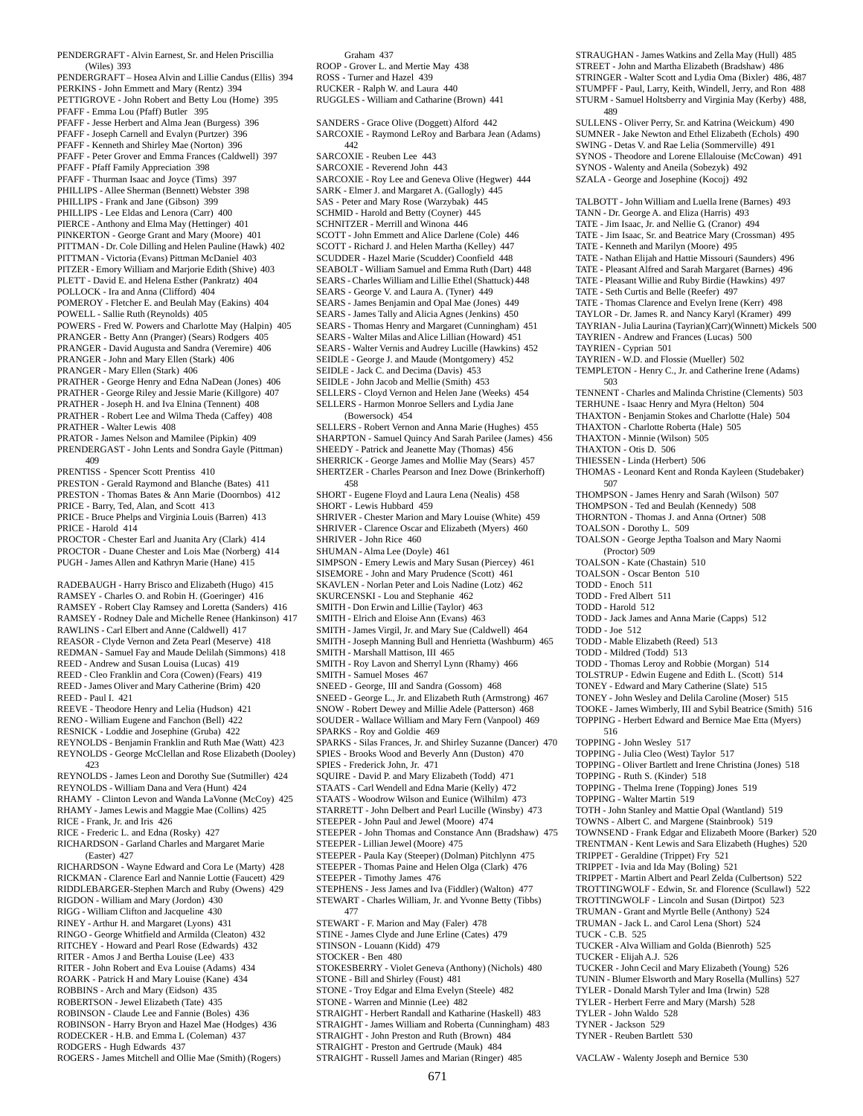PENDERGRAFT - Alvin Earnest, Sr. and Helen Priscillia (Wiles) 393 PENDERGRAFT – Hosea Alvin and Lillie Candus (Ellis) 394 PERKINS - John Emmett and Mary (Rentz) 394 PETTIGROVE - John Robert and Betty Lou (Home) 395 PFAFF - Emma Lou (Pfaff) Butler 395 PFAFF - Jesse Herbert and Alma Jean (Burgess) 396 PFAFF - Joseph Carnell and Evalyn (Purtzer) 396 PFAFF - Kenneth and Shirley Mae (Norton) 396 PFAFF - Peter Grover and Emma Frances (Caldwell) 397 PFAFF - Pfaff Family Appreciation 398 PFAFF - Thurman Isaac and Joyce (Tims) 397 PHILLIPS - Allee Sherman (Bennett) Webster 398 PHILLIPS - Frank and Jane (Gibson) 399 PHILLIPS - Lee Eldas and Lenora (Carr) 400 PIERCE - Anthony and Elma May (Hettinger) 401 PINKERTON - George Grant and Mary (Moore) 401 PITTMAN - Dr. Cole Dilling and Helen Pauline (Hawk) 402 PITTMAN - Victoria (Evans) Pittman McDaniel 403 PITZER - Emory William and Marjorie Edith (Shive) 403 PLETT - David E. and Helena Esther (Pankratz) 404 POLLOCK - Ira and Anna (Clifford) 404 POMEROY - Fletcher E. and Beulah May (Eakins) 404 POWELL - Sallie Ruth (Reynolds) 405 POWERS - Fred W. Powers and Charlotte May (Halpin) 405 PRANGER - Betty Ann (Pranger) (Sears) Rodgers 405 PRANGER - David Augusta and Sandra (Veremire) 406 PRANGER - John and Mary Ellen (Stark) 406 PRANGER - Mary Ellen (Stark) 406 PRATHER - George Henry and Edna NaDean (Jones) 406 PRATHER - George Riley and Jessie Marie (Killgore) 407 PRATHER - Joseph H. and Iva Elnina (Tennent) 408 PRATHER - Robert Lee and Wilma Theda (Caffey) 408 PRATHER - Walter Lewis 408 PRATOR - James Nelson and Mamilee (Pipkin) 409 PRENDERGAST - John Lents and Sondra Gayle (Pittman) 409 PRENTISS - Spencer Scott Prentiss 410 PRESTON - Gerald Raymond and Blanche (Bates) 411 PRESTON - Thomas Bates & Ann Marie (Doornbos) 412 PRICE - Barry, Ted, Alan, and Scott 413 PRICE - Bruce Phelps and Virginia Louis (Barren) 413 PRICE - Harold 414 PROCTOR - Chester Earl and Juanita Ary (Clark) 414 PROCTOR - Duane Chester and Lois Mae (Norberg) 414 PUGH - James Allen and Kathryn Marie (Hane) 415 RADEBAUGH - Harry Brisco and Elizabeth (Hugo) 415 RAMSEY - Charles O. and Robin H. (Goeringer) 416 RAMSEY - Robert Clay Ramsey and Loretta (Sanders) 416 RAMSEY - Rodney Dale and Michelle Renee (Hankinson) 417 RAWLINS - Carl Elbert and Anne (Caldwell) 417 REASOR - Clyde Vernon and Zeta Pearl (Meserve) 418 REDMAN - Samuel Fay and Maude Delilah (Simmons) 418 REED - Andrew and Susan Louisa (Lucas) 419 REED - Cleo Franklin and Cora (Cowen) (Fears) 419 REED - James Oliver and Mary Catherine (Brim) 420 REED - Paul I. 421 REEVE - Theodore Henry and Lelia (Hudson) 421 RENO - William Eugene and Fanchon (Bell) 422 RESNICK - Loddie and Josephine (Gruba) 422 REYNOLDS - Benjamin Franklin and Ruth Mae (Watt) 423 REYNOLDS - George McClellan and Rose Elizabeth (Dooley) 423 REYNOLDS - James Leon and Dorothy Sue (Sutmiller) 424 REYNOLDS - William Dana and Vera (Hunt) 424 RHAMY - Clinton Levon and Wanda LaVonne (McCoy) 425 RHAMY - James Lewis and Maggie Mae (Collins) 425 RICE - Frank, Jr. and Iris 426 RICE - Frederic L. and Edna (Rosky) 427 RICHARDSON - Garland Charles and Margaret Marie (Easter) 427 RICHARDSON - Wayne Edward and Cora Le (Marty) 428 RICKMAN - Clarence Earl and Nannie Lottie (Faucett) 429 RIDDLEBARGER-Stephen March and Ruby (Owens) 429 RIGDON - William and Mary (Jordon) 430 RIGG - William Clifton and Jacqueline 430 RINEY - Arthur H. and Margaret (Lyons) 431 RINGO - George Whitfield and Armilda (Cleaton) 432 RITCHEY - Howard and Pearl Rose (Edwards) 432 RITER - Amos J and Bertha Louise (Lee) 433 RITER - John Robert and Eva Louise (Adams) 434 ROARK - Patrick H and Mary Louise (Kane) 434 ROBBINS - Arch and Mary (Eidson) 435 ROBERTSON - Jewel Elizabeth (Tate) 435 ROBINSON - Claude Lee and Fannie (Boles) 436 ROBINSON - Harry Bryon and Hazel Mae (Hodges) 436 RODECKER - H.B. and Emma L (Coleman) 437 RODGERS - Hugh Edwards 437

ROGERS - James Mitchell and Ollie Mae (Smith) (Rogers) 477 STOCKER - Ben 480 STRAIGHT - Preston and Gertrude (Mauk) 484 STRAIGHT - Russell James and Marian (Ringer) 485

Graham 437 ROOP - Grover L. and Mertie May 438 ROSS - Turner and Hazel 439 RUCKER - Ralph W. and Laura 440 RUGGLES - William and Catharine (Brown) 441 SANDERS - Grace Olive (Doggett) Alford 442 SARCOXIE - Raymond LeRoy and Barbara Jean (Adams) 442 SARCOXIE - Reuben Lee 443 SARCOXIE - Reverend John 443 SARCOXIE - Roy Lee and Geneva Olive (Hegwer) 444 SARK - Elmer J. and Margaret A. (Gallogly) 445 SAS - Peter and Mary Rose (Warzybak) 445 SCHMID - Harold and Betty (Coyner) 445 SCHNITZER - Merrill and Winona 446 SCOTT - John Emmett and Alice Darlene (Cole) 446 SCOTT - Richard J. and Helen Martha (Kelley) 447 SCUDDER - Hazel Marie (Scudder) Coonfield 448 SEABOLT - William Samuel and Emma Ruth (Dart) 448 SEARS - Charles William and Lillie Ethel (Shattuck) 448 SEARS - George V. and Laura A. (Tyner) 449 SEARS - James Benjamin and Opal Mae (Jones) 449 SEARS - James Tally and Alicia Agnes (Jenkins) 450 SEARS - Thomas Henry and Margaret (Cunningham) 451 SEARS - Walter Milas and Alice Lillian (Howard) 451 SEARS - Walter Vernis and Audrey Lucille (Hawkins) 452 SEIDLE - George J. and Maude (Montgomery) 452 SEIDLE - Jack C. and Decima (Davis) 453 SEIDLE - John Jacob and Mellie (Smith) 453 SELLERS - Cloyd Vernon and Helen Jane (Weeks) 454 SELLERS - Harmon Monroe Sellers and Lydia Jane (Bowersock) 454 SELLERS - Robert Vernon and Anna Marie (Hughes) 455 SHARPTON - Samuel Quincy And Sarah Parilee (James) 456 SHEEDY - Patrick and Jeanette May (Thomas) 456 SHERRICK - George James and Mollie May (Sears) 457 SHERTZER - Charles Pearson and Inez Dowe (Brinkerhoff) 458 SHORT - Eugene Floyd and Laura Lena (Nealis) 458 SHORT - Lewis Hubbard 459 SHRIVER - Chester Marion and Mary Louise (White) 459 SHRIVER - Clarence Oscar and Elizabeth (Myers) 460 SHRIVER - John Rice 460 SHUMAN - Alma Lee (Doyle) 461 SIMPSON - Emery Lewis and Mary Susan (Piercey) 461 SISEMORE - John and Mary Prudence (Scott) 461 SKAVLEN - Norlan Peter and Lois Nadine (Lotz) 462 SKURCENSKI - Lou and Stephanie 462 SMITH - Don Erwin and Lillie (Taylor) 463 SMITH - Elrich and Eloise Ann (Evans) 463 SMITH - James Virgil, Jr. and Mary Sue (Caldwell) 464 SMITH - Joseph Manning Bull and Henrietta (Washburm) 465 SMITH - Marshall Mattison, III 465 SMITH - Roy Lavon and Sherryl Lynn (Rhamy) 466 SMITH - Samuel Moses 467 SNEED - George, III and Sandra (Gossom) 468 SNEED - George L., Jr. and Elizabeth Ruth (Armstrong) 467 SNOW - Robert Dewey and Millie Adele (Patterson) 468 SOUDER - Wallace William and Mary Fern (Vanpool) 469 SPARKS - Roy and Goldie 469 SPARKS - Silas Frances, Jr. and Shirley Suzanne (Dancer) 470 SPIES - Brooks Wood and Beverly Ann (Duston) 470 SPIES - Frederick John, Jr. 471 SQUIRE - David P. and Mary Elizabeth (Todd) 471 STAATS - Carl Wendell and Edna Marie (Kelly) 472 STAATS - Woodrow Wilson and Eunice (Wilhilm) 473 STARRETT - John Delbert and Pearl Lucille (Winsby) 473 STEEPER - John Paul and Jewel (Moore) 474 STEEPER - John Thomas and Constance Ann (Bradshaw) 475 STEEPER - Lillian Jewel (Moore) 475 STEEPER - Paula Kay (Steeper) (Dolman) Pitchlynn 475 STEEPER - Thomas Paine and Helen Olga (Clark) 476 STEEPER - Timothy James 476 STEPHENS - Jess James and Iva (Fiddler) (Walton) 477 STEWART - Charles William, Jr. and Yvonne Betty (Tibbs) STEWART - F. Marion and May (Faler) 478 STINE - James Clyde and June Erline (Cates) 479 STINSON - Louann (Kidd) 479 STOKESBERRY - Violet Geneva (Anthony) (Nichols) 480 STONE - Bill and Shirley (Foust) 481 STONE - Troy Edgar and Elma Evelyn (Steele) 482 STONE - Warren and Minnie (Lee) 482 STRAIGHT - Herbert Randall and Katharine (Haskell) 483 STRAIGHT - James William and Roberta (Cunningham) 483 STRAIGHT - John Preston and Ruth (Brown) 484

SULLENS - Oliver Perry, Sr. and Katrina (Weickum) 490 SUMNER - Jake Newton and Ethel Elizabeth (Echols) 490 SWING - Detas V. and Rae Lelia (Sommerville) 491 SYNOS - Theodore and Lorene Ellalouise (McCowan) 491 SYNOS - Walenty and Aneila (Sobezyk) 492 SZALA - George and Josephine (Kocoj) 492 TALBOTT - John William and Luella Irene (Barnes) 493 TANN - Dr. George A. and Eliza (Harris) 493 TATE - Jim Isaac, Jr. and Nellie G. (Cranor) 494 TATE - Jim Isaac, Sr. and Beatrice Mary (Crossman) 495 TATE - Kenneth and Marilyn (Moore) 495 TATE - Nathan Elijah and Hattie Missouri (Saunders) 496 TATE - Pleasant Alfred and Sarah Margaret (Barnes) 496 TATE - Pleasant Willie and Ruby Birdie (Hawkins) 497 TATE - Seth Curtis and Belle (Reefer) 497 TATE - Thomas Clarence and Evelyn Irene (Kerr) 498 TAYLOR - Dr. James R. and Nancy Karyl (Kramer) 499 TAYRIAN - Julia Laurina (Tayrian)(Carr)(Winnett) Mickels 500 TAYRIEN - Andrew and Frances (Lucas) 500 TAYRIEN - Cyprian 501 TAYRIEN - W.D. and Flossie (Mueller) 502 TEMPLETON - Henry C., Jr. and Catherine Irene (Adams) 503 TENNENT - Charles and Malinda Christine (Clements) 503 TERHUNE - Isaac Henry and Myra (Helton) 504 THAXTON - Benjamin Stokes and Charlotte (Hale) 504 THAXTON - Charlotte Roberta (Hale) 505 THAXTON - Minnie (Wilson) 505 THAXTON - Otis D. 506 THIESSEN - Linda (Herbert) 506 THOMAS - Leonard Kent and Ronda Kayleen (Studebaker) 507 THOMPSON - James Henry and Sarah (Wilson) 507 THOMPSON - Ted and Beulah (Kennedy) 508 THORNTON - Thomas J. and Anna (Ortner) 508 TOALSON - Dorothy L. 509 TOALSON - George Jeptha Toalson and Mary Naomi (Proctor) 509 TOALSON - Kate (Chastain) 510 TOALSON - Oscar Benton 510 TODD - Enoch 511 TODD - Fred Albert 511 TODD - Harold 512 TODD - Jack James and Anna Marie (Capps) 512 TODD - Joe 512 TODD - Mable Elizabeth (Reed) 513 TODD - Mildred (Todd) 513 TODD - Thomas Leroy and Robbie (Morgan) 514 TOLSTRUP - Edwin Eugene and Edith L. (Scott) 514 TONEY - Edward and Mary Catherine (Slate) 515 TONEY - John Wesley and Delila Caroline (Moser) 515 TOOKE - James Wimberly, III and Sybil Beatrice (Smith) 516 TOPPING - Herbert Edward and Bernice Mae Etta (Myers) 516 TOPPING - John Wesley 517 TOPPING - Julia Cleo (West) Taylor 517 TOPPING - Oliver Bartlett and Irene Christina (Jones) 518 TOPPING - Ruth S. (Kinder) 518 TOPPING - Thelma Irene (Topping) Jones 519 TOPPING - Walter Martin 519 TOTH - John Stanley and Mattie Opal (Wantland) 519 TOWNS - Albert C. and Margene (Stainbrook) 519 TOWNSEND - Frank Edgar and Elizabeth Moore (Barker) 520 TRENTMAN - Kent Lewis and Sara Elizabeth (Hughes) 520 TRIPPET - Geraldine (Trippet) Fry 521 TRIPPET - Ivia and Ida May (Boling) 521 TRIPPET - Martin Albert and Pearl Zelda (Culbertson) 522 TROTTINGWOLF - Edwin, Sr. and Florence (Scullawl) 522 TROTTINGWOLF - Lincoln and Susan (Dirtpot) 523 TRUMAN - Grant and Myrtle Belle (Anthony) 524 TRUMAN - Jack L. and Carol Lena (Short) 524 TUCK - C.B. 525 TUCKER - Alva William and Golda (Bienroth) 525 TUCKER - Elijah A.J. 526 TUCKER - John Cecil and Mary Elizabeth (Young) 526 TUNIN - Blumer Elsworth and Mary Rosella (Mullins) 527 TYLER - Donald Marsh Tyler and Ima (Irwin) 528 TYLER - Herbert Ferre and Mary (Marsh) 528 TYLER - John Waldo 528 TYNER - Jackson 529 TYNER - Reuben Bartlett 530

STRAUGHAN - James Watkins and Zella May (Hull) 485 STREET - John and Martha Elizabeth (Bradshaw) 486 STRINGER - Walter Scott and Lydia Oma (Bixler) 486, 487 STUMPFF - Paul, Larry, Keith, Windell, Jerry, and Ron 488 STURM - Samuel Holtsberry and Virginia May (Kerby) 488,

489

VACLAW - Walenty Joseph and Bernice 530